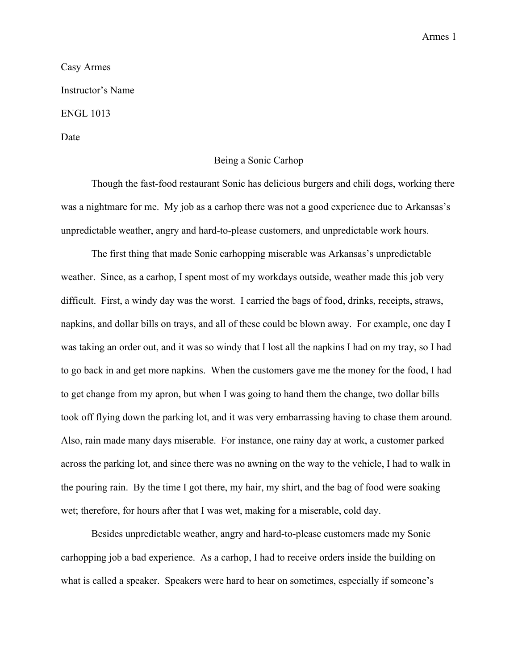Armes 1

## Casy Armes Instructor's Name ENGL 1013 Date

## Being a Sonic Carhop

Though the fast-food restaurant Sonic has delicious burgers and chili dogs, working there was a nightmare for me. My job as a carhop there was not a good experience due to Arkansas's unpredictable weather, angry and hard-to-please customers, and unpredictable work hours.

The first thing that made Sonic carhopping miserable was Arkansas's unpredictable weather. Since, as a carhop, I spent most of my workdays outside, weather made this job very difficult. First, a windy day was the worst. I carried the bags of food, drinks, receipts, straws, napkins, and dollar bills on trays, and all of these could be blown away. For example, one day I was taking an order out, and it was so windy that I lost all the napkins I had on my tray, so I had to go back in and get more napkins. When the customers gave me the money for the food, I had to get change from my apron, but when I was going to hand them the change, two dollar bills took off flying down the parking lot, and it was very embarrassing having to chase them around. Also, rain made many days miserable. For instance, one rainy day at work, a customer parked across the parking lot, and since there was no awning on the way to the vehicle, I had to walk in the pouring rain. By the time I got there, my hair, my shirt, and the bag of food were soaking wet; therefore, for hours after that I was wet, making for a miserable, cold day.

Besides unpredictable weather, angry and hard-to-please customers made my Sonic carhopping job a bad experience. As a carhop, I had to receive orders inside the building on what is called a speaker. Speakers were hard to hear on sometimes, especially if someone's